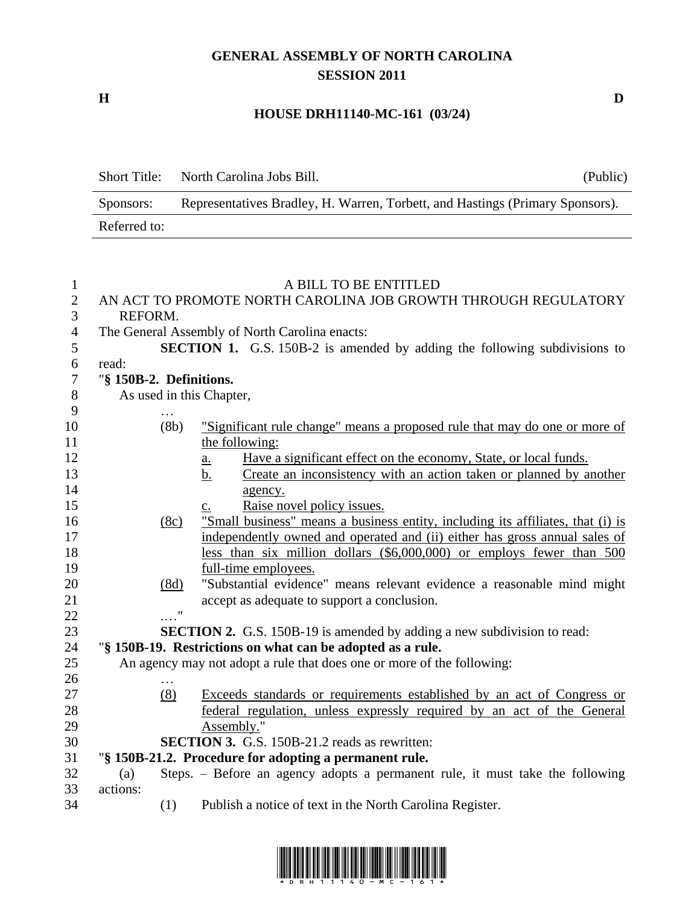### **GENERAL ASSEMBLY OF NORTH CAROLINA SESSION 2011**

**H D**

## **HOUSE DRH11140-MC-161 (03/24)**

| <b>Short Title:</b> | North Carolina Jobs Bill.<br>(Public)                                         |  |
|---------------------|-------------------------------------------------------------------------------|--|
| Sponsors:           | Representatives Bradley, H. Warren, Torbett, and Hastings (Primary Sponsors). |  |
| Referred to:        |                                                                               |  |

#### A BILL TO BE ENTITLED

| $\overline{2}$ |                                                | AN ACT TO PROMOTE NORTH CAROLINA JOB GROWTH THROUGH REGULATORY                        |  |
|----------------|------------------------------------------------|---------------------------------------------------------------------------------------|--|
| $\overline{3}$ | REFORM.                                        |                                                                                       |  |
| $\overline{4}$ | The General Assembly of North Carolina enacts: |                                                                                       |  |
| 5              |                                                | <b>SECTION 1.</b> G.S. 150B-2 is amended by adding the following subdivisions to      |  |
| 6              | read:                                          |                                                                                       |  |
| $\overline{7}$ | "§ 150B-2. Definitions.                        |                                                                                       |  |
| $8\,$          |                                                | As used in this Chapter,                                                              |  |
| 9              |                                                |                                                                                       |  |
| 10             | (8b)                                           | "Significant rule change" means a proposed rule that may do one or more of            |  |
| 11             |                                                | the following:                                                                        |  |
| 12             |                                                | Have a significant effect on the economy, State, or local funds.<br>$\underline{a}$ . |  |
| 13             |                                                | Create an inconsistency with an action taken or planned by another<br><u>b.</u>       |  |
| 14             |                                                | agency.                                                                               |  |
| 15             |                                                | Raise novel policy issues.<br>$\mathbf{c}$ .                                          |  |
| 16             | (8c)                                           | "Small business" means a business entity, including its affiliates, that (i) is       |  |
| 17             |                                                | independently owned and operated and (ii) either has gross annual sales of            |  |
| 18             |                                                | less than six million dollars (\$6,000,000) or employs fewer than 500                 |  |
| 19             |                                                | full-time employees.                                                                  |  |
| 20             | (8d)                                           | "Substantial evidence" means relevant evidence a reasonable mind might                |  |
| 21             |                                                | accept as adequate to support a conclusion.                                           |  |
| 22             | $\pmb{\mathsf{H}}$                             |                                                                                       |  |
| 23             |                                                | <b>SECTION 2.</b> G.S. 150B-19 is amended by adding a new subdivision to read:        |  |
| 24             |                                                | "§ 150B-19. Restrictions on what can be adopted as a rule.                            |  |
| 25             |                                                | An agency may not adopt a rule that does one or more of the following:                |  |
| 26             |                                                |                                                                                       |  |
| 27             | (8)                                            | Exceeds standards or requirements established by an act of Congress or                |  |
| 28             |                                                | federal regulation, unless expressly required by an act of the General                |  |
| 29             |                                                | Assembly."                                                                            |  |
| 30             |                                                | <b>SECTION 3.</b> G.S. 150B-21.2 reads as rewritten:                                  |  |
| 31             |                                                | "§ 150B-21.2. Procedure for adopting a permanent rule.                                |  |
| 32             | (a)                                            | Steps. – Before an agency adopts a permanent rule, it must take the following         |  |
| 33             | actions:                                       |                                                                                       |  |
| 34             | (1)                                            | Publish a notice of text in the North Carolina Register.                              |  |

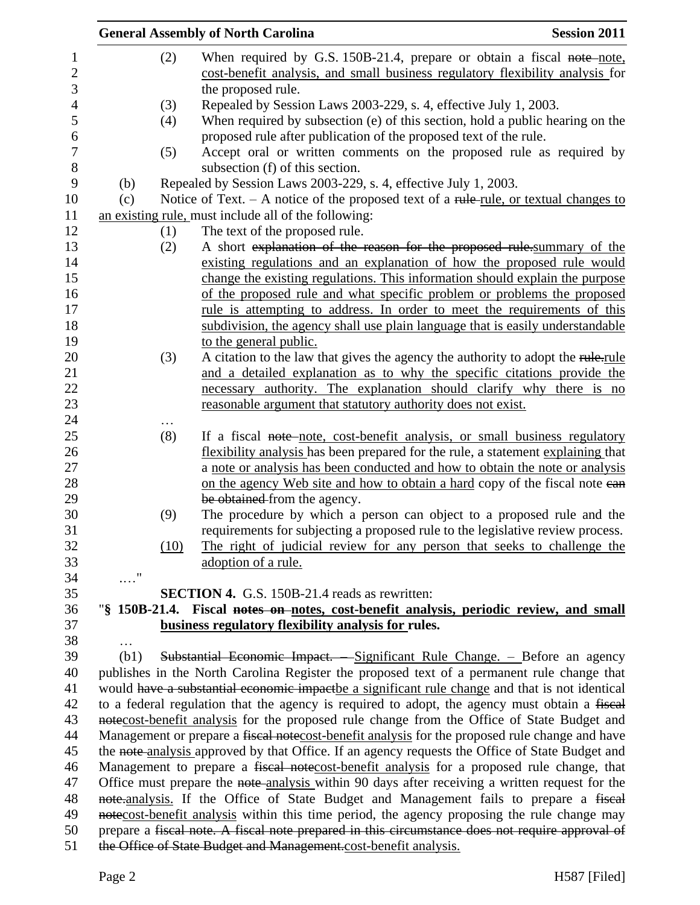|                             | <b>General Assembly of North Carolina</b>                                                                                                                                | <b>Session 2011</b> |
|-----------------------------|--------------------------------------------------------------------------------------------------------------------------------------------------------------------------|---------------------|
|                             | When required by G.S. 150B-21.4, prepare or obtain a fiscal note-note,<br>(2)                                                                                            |                     |
|                             | cost-benefit analysis, and small business regulatory flexibility analysis for                                                                                            |                     |
|                             | the proposed rule.                                                                                                                                                       |                     |
|                             | Repealed by Session Laws 2003-229, s. 4, effective July 1, 2003.<br>(3)                                                                                                  |                     |
|                             | When required by subsection (e) of this section, hold a public hearing on the<br>(4)                                                                                     |                     |
|                             | proposed rule after publication of the proposed text of the rule.                                                                                                        |                     |
|                             | Accept oral or written comments on the proposed rule as required by<br>(5)                                                                                               |                     |
|                             | subsection (f) of this section.                                                                                                                                          |                     |
| (b)                         | Repealed by Session Laws 2003-229, s. 4, effective July 1, 2003.                                                                                                         |                     |
| (c)                         | Notice of Text. $- A$ notice of the proposed text of a rule-rule, or textual changes to                                                                                  |                     |
|                             | an existing rule, must include all of the following:                                                                                                                     |                     |
|                             | The text of the proposed rule.<br>(1)                                                                                                                                    |                     |
|                             | A short explanation of the reason for the proposed rule summary of the<br>(2)                                                                                            |                     |
|                             | existing regulations and an explanation of how the proposed rule would                                                                                                   |                     |
|                             | change the existing regulations. This information should explain the purpose                                                                                             |                     |
|                             | of the proposed rule and what specific problem or problems the proposed                                                                                                  |                     |
|                             | rule is attempting to address. In order to meet the requirements of this                                                                                                 |                     |
|                             | subdivision, the agency shall use plain language that is easily understandable                                                                                           |                     |
|                             | to the general public.                                                                                                                                                   |                     |
|                             | A citation to the law that gives the agency the authority to adopt the rule-rule<br>(3)                                                                                  |                     |
|                             | and a detailed explanation as to why the specific citations provide the                                                                                                  |                     |
|                             | necessary authority. The explanation should clarify why there is no                                                                                                      |                     |
|                             | reasonable argument that statutory authority does not exist.                                                                                                             |                     |
|                             | .                                                                                                                                                                        |                     |
|                             | If a fiscal note-note, cost-benefit analysis, or small business regulatory<br>(8)                                                                                        |                     |
|                             | flexibility analysis has been prepared for the rule, a statement explaining that                                                                                         |                     |
|                             | a note or analysis has been conducted and how to obtain the note or analysis                                                                                             |                     |
|                             | on the agency Web site and how to obtain a hard copy of the fiscal note ean                                                                                              |                     |
|                             | be obtained from the agency.                                                                                                                                             |                     |
|                             | The procedure by which a person can object to a proposed rule and the<br>(9)                                                                                             |                     |
|                             | requirements for subjecting a proposed rule to the legislative review process.                                                                                           |                     |
|                             | The right of judicial review for any person that seeks to challenge the<br>(10)                                                                                          |                     |
|                             | adoption of a rule.                                                                                                                                                      |                     |
| $\ldots \overset{0}{\cdot}$ |                                                                                                                                                                          |                     |
|                             | SECTION 4. G.S. 150B-21.4 reads as rewritten:                                                                                                                            |                     |
|                             | "\\$ 150B-21.4. Fiscal notes on notes, cost-benefit analysis, periodic review, and small                                                                                 |                     |
|                             | business regulatory flexibility analysis for rules.                                                                                                                      |                     |
| (b1)                        |                                                                                                                                                                          |                     |
|                             | Substantial Economic Impact. - Significant Rule Change. - Before an agency<br>publishes in the North Carolina Register the proposed text of a permanent rule change that |                     |
|                             | would have a substantial economic impactbe a significant rule change and that is not identical                                                                           |                     |
|                             | to a federal regulation that the agency is required to adopt, the agency must obtain a fiscal                                                                            |                     |
|                             | notecost-benefit analysis for the proposed rule change from the Office of State Budget and                                                                               |                     |
|                             | Management or prepare a fiscal notecost-benefit analysis for the proposed rule change and have                                                                           |                     |
|                             | the note analysis approved by that Office. If an agency requests the Office of State Budget and                                                                          |                     |
|                             | Management to prepare a fiscal notecost-benefit analysis for a proposed rule change, that                                                                                |                     |
|                             | Office must prepare the note-analysis within 90 days after receiving a written request for the                                                                           |                     |
|                             | note-analysis. If the Office of State Budget and Management fails to prepare a fiscal                                                                                    |                     |
|                             | notecost-benefit analysis within this time period, the agency proposing the rule change may                                                                              |                     |
|                             | prepare a fiscal note. A fiscal note prepared in this circumstance does not require approval of                                                                          |                     |
|                             | the Office of State Budget and Management.cost-benefit analysis.                                                                                                         |                     |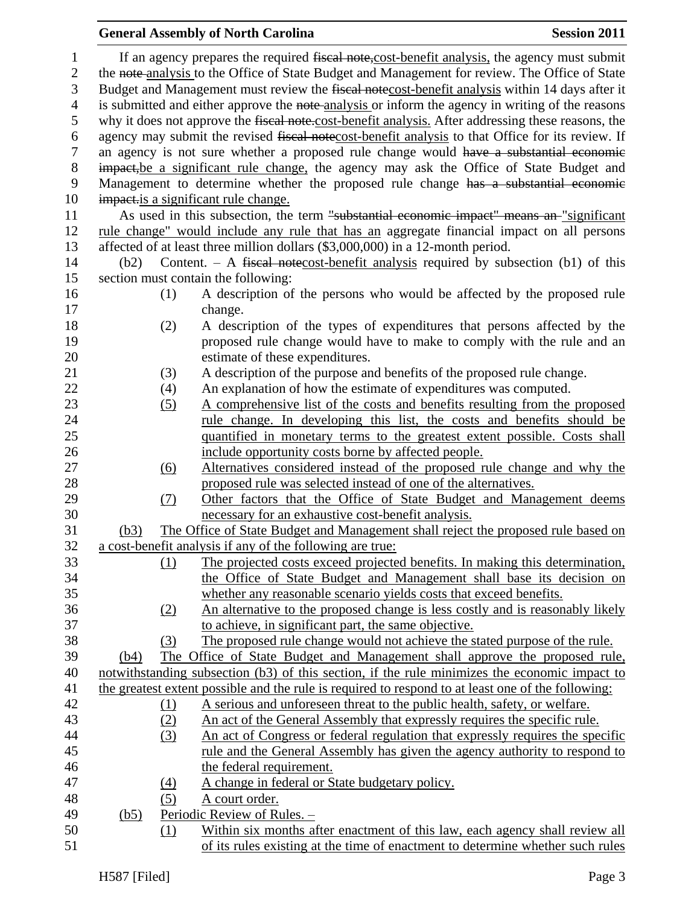#### **General Assembly of North Carolina Session 2011** 1 If an agency prepares the required fiscal note, cost-benefit analysis, the agency must submit the note analysis to the Office of State Budget and Management for review. The Office of State Budget and Management must review the fiscal notecost-benefit analysis within 14 days after it 4 is submitted and either approve the note-analysis or inform the agency in writing of the reasons why it does not approve the fiscal note.cost-benefit analysis. After addressing these reasons, the agency may submit the revised fiscal notecost-benefit analysis to that Office for its review. If an agency is not sure whether a proposed rule change would have a substantial economic impact,be a significant rule change, the agency may ask the Office of State Budget and Management to determine whether the proposed rule change has a substantial economic 10 impact is a significant rule change. 11 As used in this subsection, the term "substantial economic impact" means an "significant rule change" would include any rule that has an aggregate financial impact on all persons affected of at least three million dollars (\$3,000,000) in a 12-month period. (b2) Content. – A fiscal notecost-benefit analysis required by subsection (b1) of this section must contain the following: (1) A description of the persons who would be affected by the proposed rule change. (2) A description of the types of expenditures that persons affected by the **proposed rule change would have to make to comply with the rule and an**  estimate of these expenditures. (3) A description of the purpose and benefits of the proposed rule change. (4) An explanation of how the estimate of expenditures was computed. (5) A comprehensive list of the costs and benefits resulting from the proposed 24 rule change. In developing this list, the costs and benefits should be quantified in monetary terms to the greatest extent possible. Costs shall include opportunity costs borne by affected people. (6) Alternatives considered instead of the proposed rule change and why the proposed rule was selected instead of one of the alternatives. (7) Other factors that the Office of State Budget and Management deems necessary for an exhaustive cost-benefit analysis. (b3) The Office of State Budget and Management shall reject the proposed rule based on a cost-benefit analysis if any of the following are true: (1) The projected costs exceed projected benefits. In making this determination, the Office of State Budget and Management shall base its decision on whether any reasonable scenario yields costs that exceed benefits. (2) An alternative to the proposed change is less costly and is reasonably likely to achieve, in significant part, the same objective. (3) The proposed rule change would not achieve the stated purpose of the rule. (b4) The Office of State Budget and Management shall approve the proposed rule, notwithstanding subsection (b3) of this section, if the rule minimizes the economic impact to the greatest extent possible and the rule is required to respond to at least one of the following: (1) A serious and unforeseen threat to the public health, safety, or welfare. (2) An act of the General Assembly that expressly requires the specific rule. (3) An act of Congress or federal regulation that expressly requires the specific rule and the General Assembly has given the agency authority to respond to the federal requirement. (4) A change in federal or State budgetary policy. (5) A court order. (b5) Periodic Review of Rules. – (1) Within six months after enactment of this law, each agency shall review all of its rules existing at the time of enactment to determine whether such rules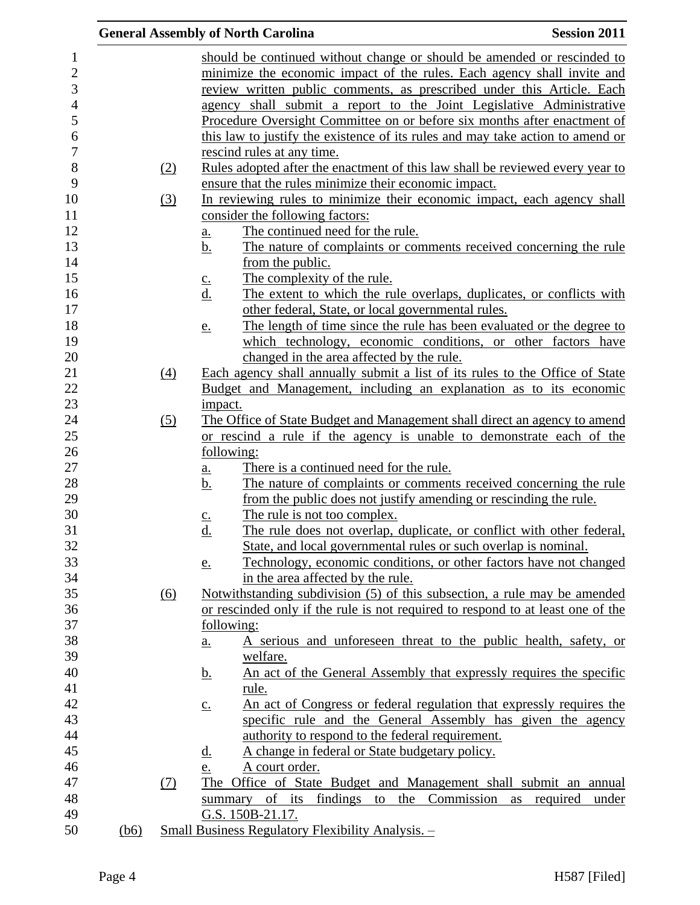|      |                  | <b>General Assembly of North Carolina</b>                                                 | <b>Session 2011</b>  |
|------|------------------|-------------------------------------------------------------------------------------------|----------------------|
|      |                  | should be continued without change or should be amended or rescinded to                   |                      |
|      |                  | minimize the economic impact of the rules. Each agency shall invite and                   |                      |
|      |                  | review written public comments, as prescribed under this Article. Each                    |                      |
|      |                  | agency shall submit a report to the Joint Legislative Administrative                      |                      |
|      |                  | Procedure Oversight Committee on or before six months after enactment of                  |                      |
|      |                  |                                                                                           |                      |
|      |                  | this law to justify the existence of its rules and may take action to amend or            |                      |
|      |                  | rescind rules at any time.                                                                |                      |
|      | (2)              | Rules adopted after the enactment of this law shall be reviewed every year to             |                      |
|      |                  | ensure that the rules minimize their economic impact.                                     |                      |
|      | (3)              | In reviewing rules to minimize their economic impact, each agency shall                   |                      |
|      |                  | consider the following factors:                                                           |                      |
|      |                  | The continued need for the rule.<br><u>a.</u>                                             |                      |
|      |                  | The nature of complaints or comments received concerning the rule<br>b.                   |                      |
|      |                  | from the public.                                                                          |                      |
|      |                  | The complexity of the rule.<br>$\underline{c}$ .                                          |                      |
|      |                  | The extent to which the rule overlaps, duplicates, or conflicts with<br><u>d.</u>         |                      |
|      |                  | other federal, State, or local governmental rules.                                        |                      |
|      |                  | The length of time since the rule has been evaluated or the degree to<br><u>e.</u>        |                      |
|      |                  | which technology, economic conditions, or other factors have                              |                      |
|      |                  | changed in the area affected by the rule.                                                 |                      |
|      | $\left(4\right)$ | Each agency shall annually submit a list of its rules to the Office of State              |                      |
|      |                  | Budget and Management, including an explanation as to its economic                        |                      |
|      |                  | impact.                                                                                   |                      |
|      | (5)              | The Office of State Budget and Management shall direct an agency to amend                 |                      |
|      |                  | or rescind a rule if the agency is unable to demonstrate each of the                      |                      |
|      |                  | following:                                                                                |                      |
|      |                  | There is a continued need for the rule.<br><u>a.</u>                                      |                      |
|      |                  | <u>b.</u><br>The nature of complaints or comments received concerning the rule            |                      |
|      |                  | from the public does not justify amending or rescinding the rule.                         |                      |
|      |                  | The rule is not too complex.<br>$C_{\bullet}$                                             |                      |
|      |                  | d.<br>The rule does not overlap, duplicate, or conflict with other federal,               |                      |
|      |                  | State, and local governmental rules or such overlap is nominal.                           |                      |
|      |                  | Technology, economic conditions, or other factors have not changed<br><u>e.</u>           |                      |
|      |                  | in the area affected by the rule.                                                         |                      |
|      | (6)              | Notwithstanding subdivision (5) of this subsection, a rule may be amended                 |                      |
|      |                  | or rescinded only if the rule is not required to respond to at least one of the           |                      |
|      |                  | following:                                                                                |                      |
|      |                  | A serious and unforeseen threat to the public health, safety, or<br><u>a.</u>             |                      |
|      |                  | welfare.                                                                                  |                      |
|      |                  | An act of the General Assembly that expressly requires the specific<br><u>b.</u>          |                      |
|      |                  | rule.                                                                                     |                      |
|      |                  | An act of Congress or federal regulation that expressly requires the<br>$\underline{c}$ . |                      |
|      |                  | specific rule and the General Assembly has given the agency                               |                      |
|      |                  | authority to respond to the federal requirement.                                          |                      |
|      |                  | A change in federal or State budgetary policy.<br><u>d.</u>                               |                      |
|      |                  | A court order.<br>e.                                                                      |                      |
|      | (7)              | The Office of State Budget and Management shall submit an annual                          |                      |
|      |                  | summary of its findings to the Commission                                                 | as required<br>under |
|      |                  | G.S. 150B-21.17.                                                                          |                      |
| (b6) |                  | <b>Small Business Regulatory Flexibility Analysis.</b> -                                  |                      |
|      |                  |                                                                                           |                      |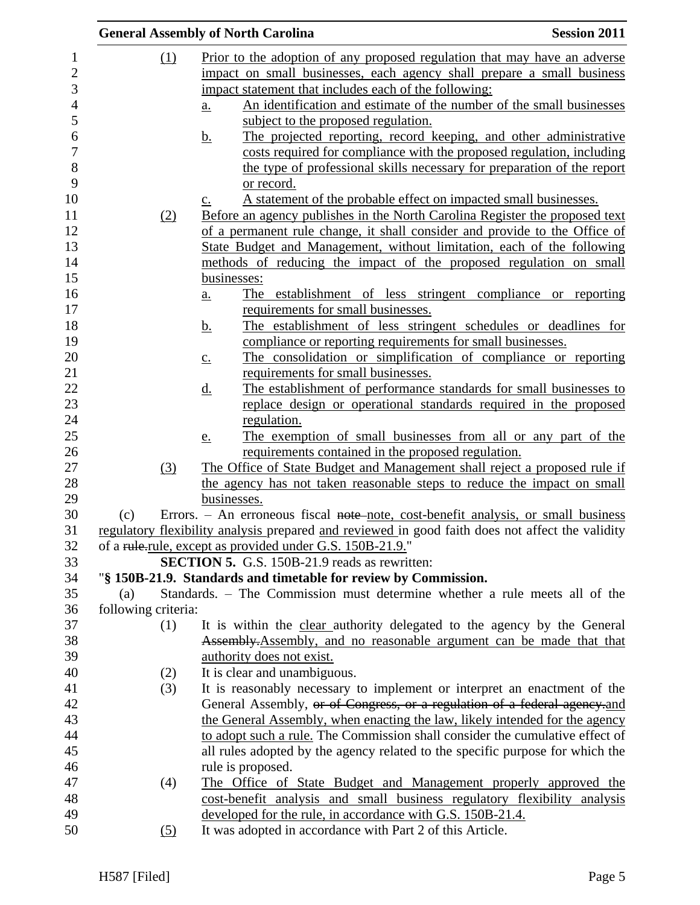|                     | <b>General Assembly of North Carolina</b>                                                                         | <b>Session 2011</b> |
|---------------------|-------------------------------------------------------------------------------------------------------------------|---------------------|
| (1)                 | Prior to the adoption of any proposed regulation that may have an adverse                                         |                     |
|                     | impact on small businesses, each agency shall prepare a small business                                            |                     |
|                     | impact statement that includes each of the following:                                                             |                     |
|                     | An identification and estimate of the number of the small businesses<br>a.                                        |                     |
|                     | subject to the proposed regulation.                                                                               |                     |
|                     | The projected reporting, record keeping, and other administrative<br><u>b.</u>                                    |                     |
|                     | costs required for compliance with the proposed regulation, including                                             |                     |
|                     | the type of professional skills necessary for preparation of the report                                           |                     |
|                     | or record.                                                                                                        |                     |
|                     | A statement of the probable effect on impacted small businesses.<br>$\underline{c}$ .                             |                     |
| (2)                 | Before an agency publishes in the North Carolina Register the proposed text                                       |                     |
|                     | of a permanent rule change, it shall consider and provide to the Office of                                        |                     |
|                     | State Budget and Management, without limitation, each of the following                                            |                     |
|                     | methods of reducing the impact of the proposed regulation on small                                                |                     |
|                     | businesses:                                                                                                       |                     |
|                     | The establishment of less stringent compliance or reporting<br>$a_{\cdot}$                                        |                     |
|                     | requirements for small businesses.                                                                                |                     |
|                     | The establishment of less stringent schedules or deadlines for<br><u>b.</u>                                       |                     |
|                     | compliance or reporting requirements for small businesses.                                                        |                     |
|                     | The consolidation or simplification of compliance or reporting<br>$\underline{c}$ .                               |                     |
|                     | requirements for small businesses.                                                                                |                     |
|                     | The establishment of performance standards for small businesses to<br><u>d.</u>                                   |                     |
|                     | replace design or operational standards required in the proposed                                                  |                     |
|                     | regulation.                                                                                                       |                     |
|                     | The exemption of small businesses from all or any part of the<br>e.                                               |                     |
|                     | requirements contained in the proposed regulation.                                                                |                     |
| (3)                 | The Office of State Budget and Management shall reject a proposed rule if                                         |                     |
|                     | the agency has not taken reasonable steps to reduce the impact on small                                           |                     |
|                     | businesses.                                                                                                       |                     |
| (c)                 | Errors. – An erroneous fiscal note-note, cost-benefit analysis, or small business                                 |                     |
|                     | regulatory flexibility analysis prepared and reviewed in good faith does not affect the validity                  |                     |
|                     | of a rule-rule, except as provided under G.S. 150B-21.9."<br><b>SECTION 5.</b> G.S. 150B-21.9 reads as rewritten: |                     |
|                     | "§ 150B-21.9. Standards and timetable for review by Commission.                                                   |                     |
| (a)                 | Standards. - The Commission must determine whether a rule meets all of the                                        |                     |
| following criteria: |                                                                                                                   |                     |
| (1)                 | It is within the clear authority delegated to the agency by the General                                           |                     |
|                     | Assembly. Assembly, and no reasonable argument can be made that that                                              |                     |
|                     | authority does not exist.                                                                                         |                     |
| (2)                 | It is clear and unambiguous.                                                                                      |                     |
| (3)                 | It is reasonably necessary to implement or interpret an enactment of the                                          |                     |
|                     | General Assembly, or of Congress, or a regulation of a federal agency.and                                         |                     |
|                     | the General Assembly, when enacting the law, likely intended for the agency                                       |                     |
|                     | to adopt such a rule. The Commission shall consider the cumulative effect of                                      |                     |
|                     | all rules adopted by the agency related to the specific purpose for which the                                     |                     |
|                     | rule is proposed.                                                                                                 |                     |
| (4)                 | The Office of State Budget and Management properly approved the                                                   |                     |
|                     | cost-benefit analysis and small business regulatory flexibility analysis                                          |                     |
|                     | developed for the rule, in accordance with G.S. 150B-21.4.                                                        |                     |
| (5)                 | It was adopted in accordance with Part 2 of this Article.                                                         |                     |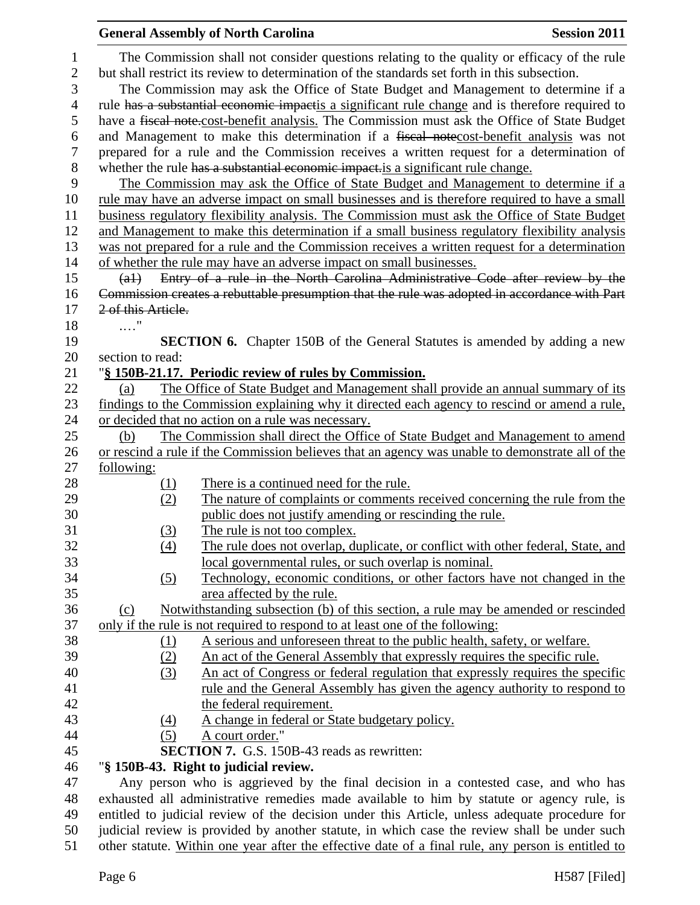|                                   |                    | <b>General Assembly of North Carolina</b>                                                                                                                                                                                                                                          | <b>Session 2011</b> |
|-----------------------------------|--------------------|------------------------------------------------------------------------------------------------------------------------------------------------------------------------------------------------------------------------------------------------------------------------------------|---------------------|
| $\mathbf{1}$<br>$\mathbf{2}$<br>3 |                    | The Commission shall not consider questions relating to the quality or efficacy of the rule<br>but shall restrict its review to determination of the standards set forth in this subsection.<br>The Commission may ask the Office of State Budget and Management to determine if a |                     |
| $\overline{4}$                    |                    | rule has a substantial economic impactis a significant rule change and is therefore required to                                                                                                                                                                                    |                     |
| 5                                 |                    | have a fiscal note-cost-benefit analysis. The Commission must ask the Office of State Budget                                                                                                                                                                                       |                     |
| 6<br>$\tau$                       |                    | and Management to make this determination if a fiscal notecost-benefit analysis was not<br>prepared for a rule and the Commission receives a written request for a determination of                                                                                                |                     |
| 8                                 |                    | whether the rule has a substantial economic impact is a significant rule change.                                                                                                                                                                                                   |                     |
| 9                                 |                    | The Commission may ask the Office of State Budget and Management to determine if a                                                                                                                                                                                                 |                     |
| 10                                |                    | rule may have an adverse impact on small businesses and is therefore required to have a small                                                                                                                                                                                      |                     |
| 11                                |                    | business regulatory flexibility analysis. The Commission must ask the Office of State Budget                                                                                                                                                                                       |                     |
| 12                                |                    | and Management to make this determination if a small business regulatory flexibility analysis                                                                                                                                                                                      |                     |
| 13                                |                    | was not prepared for a rule and the Commission receives a written request for a determination                                                                                                                                                                                      |                     |
| 14                                | $(a+)$             | of whether the rule may have an adverse impact on small businesses.<br>Entry of a rule in the North Carolina Administrative Code after review by the                                                                                                                               |                     |
| 15<br>16                          |                    | Commission creates a rebuttable presumption that the rule was adopted in accordance with Part                                                                                                                                                                                      |                     |
| 17                                | 2 of this Article. |                                                                                                                                                                                                                                                                                    |                     |
| 18                                | $\ldots$ "         |                                                                                                                                                                                                                                                                                    |                     |
| 19                                |                    | <b>SECTION 6.</b> Chapter 150B of the General Statutes is amended by adding a new                                                                                                                                                                                                  |                     |
| 20                                | section to read:   |                                                                                                                                                                                                                                                                                    |                     |
| 21                                |                    | "§ 150B-21.17. Periodic review of rules by Commission.                                                                                                                                                                                                                             |                     |
| 22                                | (a)                | The Office of State Budget and Management shall provide an annual summary of its                                                                                                                                                                                                   |                     |
| 23                                |                    | findings to the Commission explaining why it directed each agency to rescind or amend a rule,                                                                                                                                                                                      |                     |
| 24                                |                    | or decided that no action on a rule was necessary.                                                                                                                                                                                                                                 |                     |
| 25                                | (b)                | The Commission shall direct the Office of State Budget and Management to amend                                                                                                                                                                                                     |                     |
| 26                                |                    | or rescind a rule if the Commission believes that an agency was unable to demonstrate all of the                                                                                                                                                                                   |                     |
| 27                                | following:         |                                                                                                                                                                                                                                                                                    |                     |
| 28                                |                    | There is a continued need for the rule.                                                                                                                                                                                                                                            |                     |
| 29                                | $\frac{(1)}{(2)}$  | The nature of complaints or comments received concerning the rule from the                                                                                                                                                                                                         |                     |
| 30                                |                    | public does not justify amending or rescinding the rule.                                                                                                                                                                                                                           |                     |
| 31                                | (3)                | The rule is not too complex.                                                                                                                                                                                                                                                       |                     |
| 32                                | (4)                | The rule does not overlap, duplicate, or conflict with other federal, State, and                                                                                                                                                                                                   |                     |
| 33                                |                    | local governmental rules, or such overlap is nominal.                                                                                                                                                                                                                              |                     |
| 34                                | (5)                | Technology, economic conditions, or other factors have not changed in the                                                                                                                                                                                                          |                     |
| 35                                |                    | area affected by the rule.                                                                                                                                                                                                                                                         |                     |
| 36                                | $\Omega$           | Notwithstanding subsection (b) of this section, a rule may be amended or rescinded                                                                                                                                                                                                 |                     |
| 37                                |                    | only if the rule is not required to respond to at least one of the following:                                                                                                                                                                                                      |                     |
| 38                                | <u>(1)</u>         | A serious and unforeseen threat to the public health, safety, or welfare.                                                                                                                                                                                                          |                     |
| 39                                | (2)                | An act of the General Assembly that expressly requires the specific rule.                                                                                                                                                                                                          |                     |
| 40                                | (3)                | An act of Congress or federal regulation that expressly requires the specific                                                                                                                                                                                                      |                     |
| 41                                |                    | <u>rule and the General Assembly has given the agency authority to respond to</u>                                                                                                                                                                                                  |                     |
| 42                                |                    | the federal requirement.                                                                                                                                                                                                                                                           |                     |
| 43                                | <u>(4)</u>         | A change in federal or State budgetary policy.                                                                                                                                                                                                                                     |                     |
| 44                                | (5)                | A court order."                                                                                                                                                                                                                                                                    |                     |
| 45                                |                    | <b>SECTION 7.</b> G.S. 150B-43 reads as rewritten:                                                                                                                                                                                                                                 |                     |
| 46                                |                    | "§ 150B-43. Right to judicial review.                                                                                                                                                                                                                                              |                     |
| 47                                |                    | Any person who is aggrieved by the final decision in a contested case, and who has                                                                                                                                                                                                 |                     |
| 48                                |                    | exhausted all administrative remedies made available to him by statute or agency rule, is                                                                                                                                                                                          |                     |
| 49<br>$50^{\circ}$                |                    | entitled to judicial review of the decision under this Article, unless adequate procedure for<br>indicial review is provided by another statute in which case the review shall be under such                                                                                       |                     |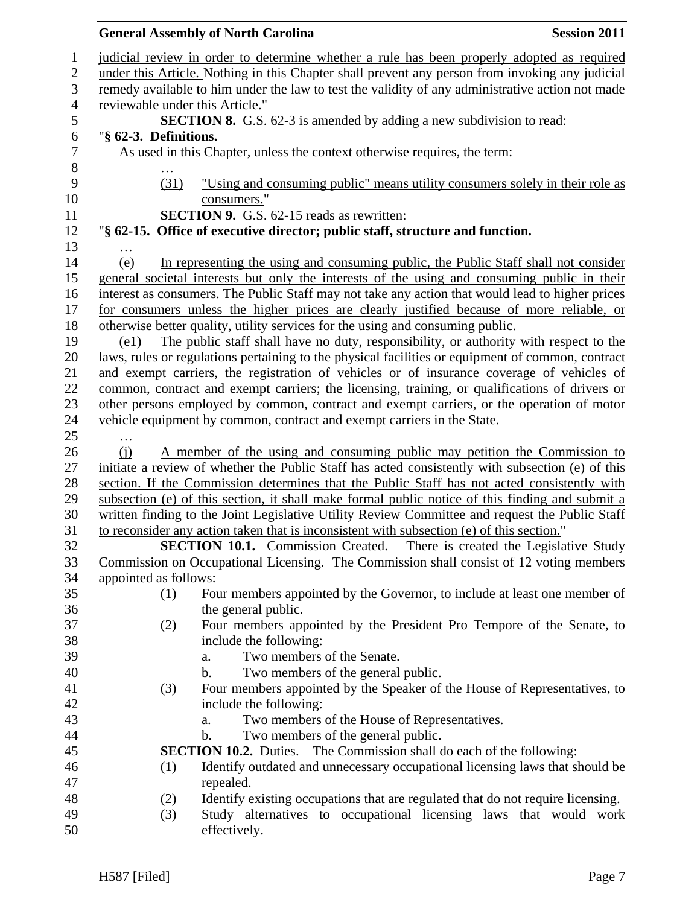#### General Assembly of North Carolina **Session 2011**  judicial review in order to determine whether a rule has been properly adopted as required under this Article. Nothing in this Chapter shall prevent any person from invoking any judicial remedy available to him under the law to test the validity of any administrative action not made reviewable under this Article." **SECTION 8.** G.S. 62-3 is amended by adding a new subdivision to read: "**§ 62-3. Definitions.** As used in this Chapter, unless the context otherwise requires, the term: … (31) "Using and consuming public" means utility consumers solely in their role as 10 consumers." **SECTION 9.** G.S. 62-15 reads as rewritten: "**§ 62-15. Office of executive director; public staff, structure and function.** … (e) In representing the using and consuming public, the Public Staff shall not consider general societal interests but only the interests of the using and consuming public in their interest as consumers. The Public Staff may not take any action that would lead to higher prices for consumers unless the higher prices are clearly justified because of more reliable, or otherwise better quality, utility services for the using and consuming public. 19 (e1) The public staff shall have no duty, responsibility, or authority with respect to the laws, rules or regulations pertaining to the physical facilities or equipment of common, contract and exempt carriers, the registration of vehicles or of insurance coverage of vehicles of common, contract and exempt carriers; the licensing, training, or qualifications of drivers or other persons employed by common, contract and exempt carriers, or the operation of motor vehicle equipment by common, contract and exempt carriers in the State. … (j) A member of the using and consuming public may petition the Commission to initiate a review of whether the Public Staff has acted consistently with subsection (e) of this section. If the Commission determines that the Public Staff has not acted consistently with subsection (e) of this section, it shall make formal public notice of this finding and submit a written finding to the Joint Legislative Utility Review Committee and request the Public Staff to reconsider any action taken that is inconsistent with subsection (e) of this section." **SECTION 10.1.** Commission Created. – There is created the Legislative Study Commission on Occupational Licensing. The Commission shall consist of 12 voting members appointed as follows: (1) Four members appointed by the Governor, to include at least one member of the general public. (2) Four members appointed by the President Pro Tempore of the Senate, to include the following: a. Two members of the Senate. b. Two members of the general public. (3) Four members appointed by the Speaker of the House of Representatives, to include the following: a. Two members of the House of Representatives. b. Two members of the general public. **SECTION 10.2.** Duties. – The Commission shall do each of the following: (1) Identify outdated and unnecessary occupational licensing laws that should be repealed. (2) Identify existing occupations that are regulated that do not require licensing. (3) Study alternatives to occupational licensing laws that would work effectively.